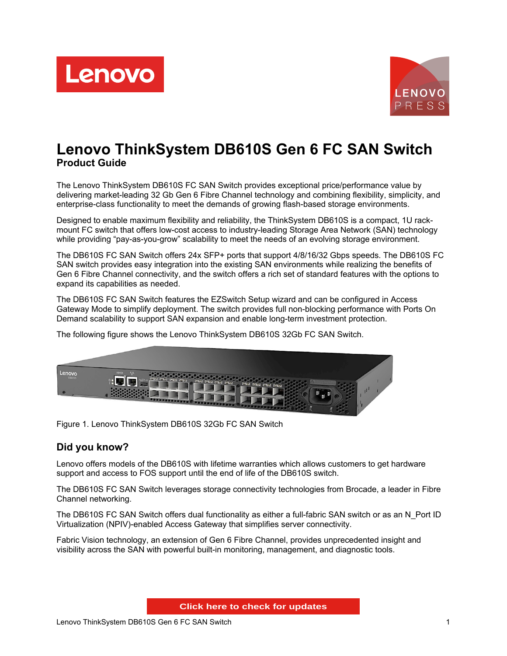



# **Lenovo ThinkSystem DB610S Gen 6 FC SAN Switch Product Guide**

The Lenovo ThinkSystem DB610S FC SAN Switch provides exceptional price/performance value by delivering market-leading 32 Gb Gen 6 Fibre Channel technology and combining flexibility, simplicity, and enterprise-class functionality to meet the demands of growing flash-based storage environments.

Designed to enable maximum flexibility and reliability, the ThinkSystem DB610S is a compact, 1U rackmount FC switch that offers low-cost access to industry-leading Storage Area Network (SAN) technology while providing "pay-as-you-grow" scalability to meet the needs of an evolving storage environment.

The DB610S FC SAN Switch offers 24x SFP+ ports that support 4/8/16/32 Gbps speeds. The DB610S FC SAN switch provides easy integration into the existing SAN environments while realizing the benefits of Gen 6 Fibre Channel connectivity, and the switch offers a rich set of standard features with the options to expand its capabilities as needed.

The DB610S FC SAN Switch features the EZSwitch Setup wizard and can be configured in Access Gateway Mode to simplify deployment. The switch provides full non-blocking performance with Ports On Demand scalability to support SAN expansion and enable long-term investment protection.



The following figure shows the Lenovo ThinkSystem DB610S 32Gb FC SAN Switch.

Figure 1. Lenovo ThinkSystem DB610S 32Gb FC SAN Switch

## **Did you know?**

Lenovo offers models of the DB610S with lifetime warranties which allows customers to get hardware support and access to FOS support until the end of life of the DB610S switch.

The DB610S FC SAN Switch leverages storage connectivity technologies from Brocade, a leader in Fibre Channel networking.

The DB610S FC SAN Switch offers dual functionality as either a full-fabric SAN switch or as an N\_Port ID Virtualization (NPIV)-enabled Access Gateway that simplifies server connectivity.

Fabric Vision technology, an extension of Gen 6 Fibre Channel, provides unprecedented insight and visibility across the SAN with powerful built-in monitoring, management, and diagnostic tools.

**Click here to check for updates**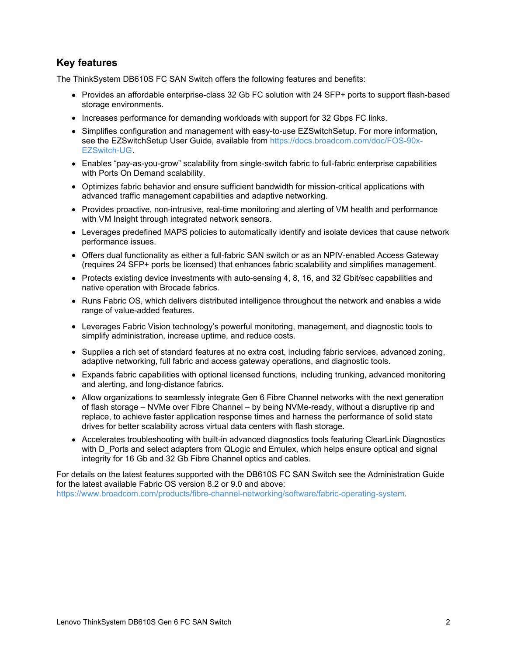## **Key features**

The ThinkSystem DB610S FC SAN Switch offers the following features and benefits:

- Provides an affordable enterprise-class 32 Gb FC solution with 24 SFP+ ports to support flash-based storage environments.
- Increases performance for demanding workloads with support for 32 Gbps FC links.
- Simplifies configuration and management with easy-to-use EZSwitchSetup. For more information, see the EZSwitchSetup User Guide, available from [https://docs.broadcom.com/doc/FOS-90x-](https://docs.broadcom.com/doc/FOS-90x-EZSwitch-UG)EZSwitch-UG.
- Enables "pay-as-you-grow" scalability from single-switch fabric to full-fabric enterprise capabilities with Ports On Demand scalability.
- Optimizes fabric behavior and ensure sufficient bandwidth for mission-critical applications with advanced traffic management capabilities and adaptive networking.
- Provides proactive, non-intrusive, real-time monitoring and alerting of VM health and performance with VM Insight through integrated network sensors.
- Leverages predefined MAPS policies to automatically identify and isolate devices that cause network performance issues.
- Offers dual functionality as either a full-fabric SAN switch or as an NPIV-enabled Access Gateway (requires 24 SFP+ ports be licensed) that enhances fabric scalability and simplifies management.
- Protects existing device investments with auto-sensing 4, 8, 16, and 32 Gbit/sec capabilities and native operation with Brocade fabrics.
- Runs Fabric OS, which delivers distributed intelligence throughout the network and enables a wide range of value-added features.
- Leverages Fabric Vision technology's powerful monitoring, management, and diagnostic tools to simplify administration, increase uptime, and reduce costs.
- Supplies a rich set of standard features at no extra cost, including fabric services, advanced zoning, adaptive networking, full fabric and access gateway operations, and diagnostic tools.
- Expands fabric capabilities with optional licensed functions, including trunking, advanced monitoring and alerting, and long-distance fabrics.
- Allow organizations to seamlessly integrate Gen 6 Fibre Channel networks with the next generation of flash storage – NVMe over Fibre Channel – by being NVMe-ready, without a disruptive rip and replace, to achieve faster application response times and harness the performance of solid state drives for better scalability across virtual data centers with flash storage.
- Accelerates troubleshooting with built-in advanced diagnostics tools featuring ClearLink Diagnostics with D\_Ports and select adapters from QLogic and Emulex, which helps ensure optical and signal integrity for 16 Gb and 32 Gb Fibre Channel optics and cables.

For details on the latest features supported with the DB610S FC SAN Switch see the Administration Guide for the latest available Fabric OS version 8.2 or 9.0 and above: <https://www.broadcom.com/products/fibre-channel-networking/software/fabric-operating-system>.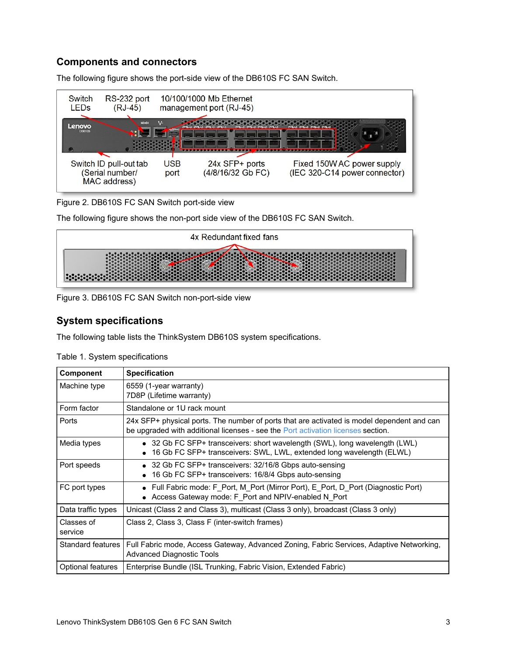## **Components and connectors**

The following figure shows the port-side view of the DB610S FC SAN Switch.



Figure 2. DB610S FC SAN Switch port-side view

The following figure shows the non-port side view of the DB610S FC SAN Switch.



Figure 3. DB610S FC SAN Switch non-port-side view

## **System specifications**

The following table lists the ThinkSystem DB610S system specifications.

| <b>Component</b>      | <b>Specification</b>                                                                                                                                                           |
|-----------------------|--------------------------------------------------------------------------------------------------------------------------------------------------------------------------------|
| Machine type          | 6559 (1-year warranty)<br>7D8P (Lifetime warranty)                                                                                                                             |
| Form factor           | Standalone or 1U rack mount                                                                                                                                                    |
| Ports                 | 24x SFP+ physical ports. The number of ports that are activated is model dependent and can<br>be upgraded with additional licenses - see the Port activation licenses section. |
| Media types           | • 32 Gb FC SFP+ transceivers: short wavelength (SWL), long wavelength (LWL)<br>16 Gb FC SFP+ transceivers: SWL, LWL, extended long wavelength (ELWL)                           |
| Port speeds           | • 32 Gb FC SFP+ transceivers: 32/16/8 Gbps auto-sensing<br>• 16 Gb FC SFP+ transceivers: 16/8/4 Gbps auto-sensing                                                              |
| FC port types         | • Full Fabric mode: F Port, M Port (Mirror Port), E Port, D Port (Diagnostic Port)<br>• Access Gateway mode: F Port and NPIV-enabled N Port                                    |
| Data traffic types    | Unicast (Class 2 and Class 3), multicast (Class 3 only), broadcast (Class 3 only)                                                                                              |
| Classes of<br>service | Class 2, Class 3, Class F (inter-switch frames)                                                                                                                                |
| Standard features I   | Full Fabric mode, Access Gateway, Advanced Zoning, Fabric Services, Adaptive Networking,<br><b>Advanced Diagnostic Tools</b>                                                   |
| Optional features     | Enterprise Bundle (ISL Trunking, Fabric Vision, Extended Fabric)                                                                                                               |

Table 1. System specifications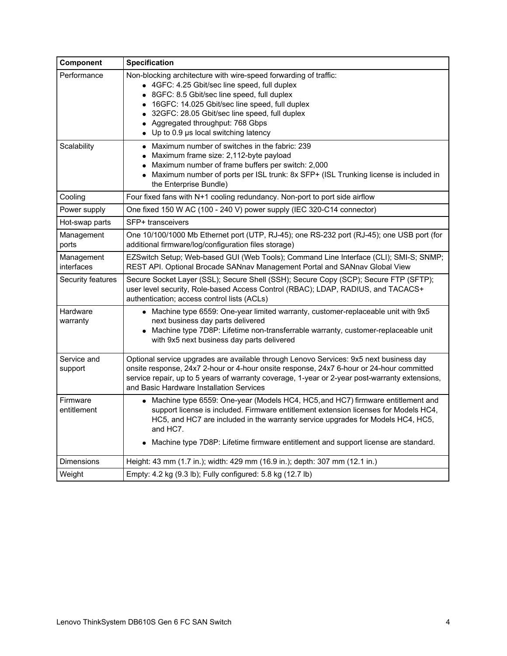| Component                | <b>Specification</b>                                                                                                                                                                                                                                                                                                                                                                   |
|--------------------------|----------------------------------------------------------------------------------------------------------------------------------------------------------------------------------------------------------------------------------------------------------------------------------------------------------------------------------------------------------------------------------------|
| Performance              | Non-blocking architecture with wire-speed forwarding of traffic:<br>• 4GFC: 4.25 Gbit/sec line speed, full duplex<br>8GFC: 8.5 Gbit/sec line speed, full duplex<br>$\bullet$<br>16GFC: 14.025 Gbit/sec line speed, full duplex<br>32GFC: 28.05 Gbit/sec line speed, full duplex<br>٠<br>Aggregated throughput: 768 Gbps<br>$\bullet$<br>$\bullet$ Up to 0.9 µs local switching latency |
| Scalability              | • Maximum number of switches in the fabric: 239<br>Maximum frame size: 2,112-byte payload<br>٠<br>Maximum number of frame buffers per switch: 2,000<br>Maximum number of ports per ISL trunk: 8x SFP+ (ISL Trunking license is included in<br>the Enterprise Bundle)                                                                                                                   |
| Cooling                  | Four fixed fans with N+1 cooling redundancy. Non-port to port side airflow                                                                                                                                                                                                                                                                                                             |
| Power supply             | One fixed 150 W AC (100 - 240 V) power supply (IEC 320-C14 connector)                                                                                                                                                                                                                                                                                                                  |
| Hot-swap parts           | SFP+ transceivers                                                                                                                                                                                                                                                                                                                                                                      |
| Management<br>ports      | One 10/100/1000 Mb Ethernet port (UTP, RJ-45); one RS-232 port (RJ-45); one USB port (for<br>additional firmware/log/configuration files storage)                                                                                                                                                                                                                                      |
| Management<br>interfaces | EZSwitch Setup; Web-based GUI (Web Tools); Command Line Interface (CLI); SMI-S; SNMP;<br>REST API. Optional Brocade SANnav Management Portal and SANnav Global View                                                                                                                                                                                                                    |
| Security features        | Secure Socket Layer (SSL); Secure Shell (SSH); Secure Copy (SCP); Secure FTP (SFTP);<br>user level security, Role-based Access Control (RBAC); LDAP, RADIUS, and TACACS+<br>authentication; access control lists (ACLs)                                                                                                                                                                |
| Hardware<br>warranty     | • Machine type 6559: One-year limited warranty, customer-replaceable unit with 9x5<br>next business day parts delivered<br>• Machine type 7D8P: Lifetime non-transferrable warranty, customer-replaceable unit<br>with 9x5 next business day parts delivered                                                                                                                           |
| Service and<br>support   | Optional service upgrades are available through Lenovo Services: 9x5 next business day<br>onsite response, 24x7 2-hour or 4-hour onsite response, 24x7 6-hour or 24-hour committed<br>service repair, up to 5 years of warranty coverage, 1-year or 2-year post-warranty extensions,<br>and Basic Hardware Installation Services                                                       |
| Firmware<br>entitlement  | • Machine type 6559: One-year (Models HC4, HC5, and HC7) firmware entitlement and<br>support license is included. Firmware entitlement extension licenses for Models HC4,<br>HC5, and HC7 are included in the warranty service upgrades for Models HC4, HC5,<br>and HC7.<br>Machine type 7D8P: Lifetime firmware entitlement and support license are standard.                         |
| <b>Dimensions</b>        | Height: 43 mm (1.7 in.); width: 429 mm (16.9 in.); depth: 307 mm (12.1 in.)                                                                                                                                                                                                                                                                                                            |
| Weight                   | Empty: 4.2 kg (9.3 lb); Fully configured: 5.8 kg (12.7 lb)                                                                                                                                                                                                                                                                                                                             |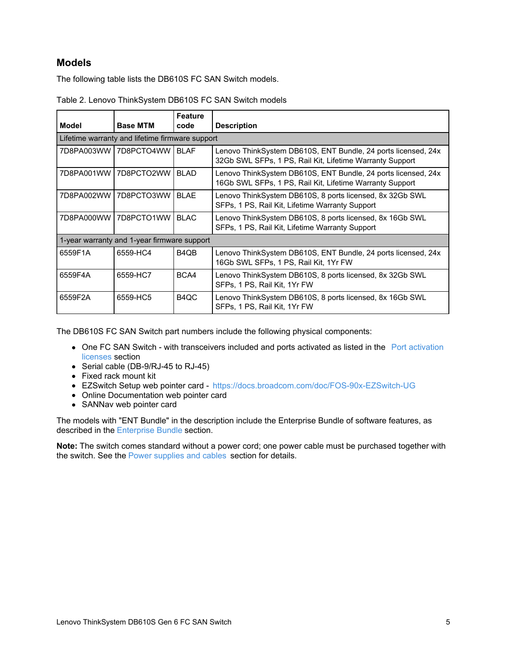### <span id="page-4-0"></span>**Models**

The following table lists the DB610S FC SAN Switch models.

|            |                                                 | Feature                       |                                                                                                                           |  |  |  |
|------------|-------------------------------------------------|-------------------------------|---------------------------------------------------------------------------------------------------------------------------|--|--|--|
| Model      | <b>Base MTM</b>                                 | code                          | <b>Description</b>                                                                                                        |  |  |  |
|            | Lifetime warranty and lifetime firmware support |                               |                                                                                                                           |  |  |  |
|            | 7D8PA003WW   7D8PCTO4WW                         | <b>BLAF</b>                   | Lenovo ThinkSystem DB610S, ENT Bundle, 24 ports licensed, 24x<br>32Gb SWL SFPs, 1 PS, Rail Kit, Lifetime Warranty Support |  |  |  |
| 7D8PA001WW | 7D8PCTO2WW                                      | <b>BLAD</b>                   | Lenovo ThinkSystem DB610S, ENT Bundle, 24 ports licensed, 24x<br>16Gb SWL SFPs, 1 PS, Rail Kit, Lifetime Warranty Support |  |  |  |
| 7D8PA002WW | 7D8PCTO3WW                                      | <b>BLAE</b>                   | Lenovo ThinkSystem DB610S, 8 ports licensed, 8x 32Gb SWL<br>SFPs, 1 PS, Rail Kit, Lifetime Warranty Support               |  |  |  |
| 7D8PA000WW | 7D8PCTO1WW                                      | <b>BLAC</b>                   | Lenovo ThinkSystem DB610S, 8 ports licensed, 8x 16Gb SWL<br>SFPs, 1 PS, Rail Kit, Lifetime Warranty Support               |  |  |  |
|            | 1-year warranty and 1-year firmware support     |                               |                                                                                                                           |  |  |  |
| 6559F1A    | 6559-HC4                                        | B <sub>4</sub> Q <sub>B</sub> | Lenovo ThinkSystem DB610S, ENT Bundle, 24 ports licensed, 24x<br>16Gb SWL SFPs, 1 PS, Rail Kit, 1Yr FW                    |  |  |  |
| 6559F4A    | 6559-HC7                                        | BCA4                          | Lenovo ThinkSystem DB610S, 8 ports licensed, 8x 32Gb SWL<br>SFPs, 1 PS, Rail Kit, 1Yr FW                                  |  |  |  |
| 6559F2A    | 6559-HC5                                        | B <sub>4</sub> Q <sub>C</sub> | Lenovo ThinkSystem DB610S, 8 ports licensed, 8x 16Gb SWL<br>SFPs, 1 PS, Rail Kit, 1Yr FW                                  |  |  |  |

| Table 2. Lenovo ThinkSystem DB610S FC SAN Switch models |  |  |  |
|---------------------------------------------------------|--|--|--|
|---------------------------------------------------------|--|--|--|

The DB610S FC SAN Switch part numbers include the following physical components:

- One FC SAN Switch with [transceivers](#page-6-0) included and ports activated as listed in the Port activation licenses section
- Serial cable (DB-9/RJ-45 to RJ-45)
- Fixed rack mount kit
- EZSwitch Setup web pointer card <https://docs.broadcom.com/doc/FOS-90x-EZSwitch-UG>
- Online Documentation web pointer card
- SANNav web pointer card

The models with "ENT Bundle" in the description include the Enterprise Bundle of software features, as described in the [Enterprise](#page-9-0) Bundle section.

**Note:** The switch comes standard without a power cord; one power cable must be purchased together with the switch. See the Power [supplies](#page-11-0) and cables section for details.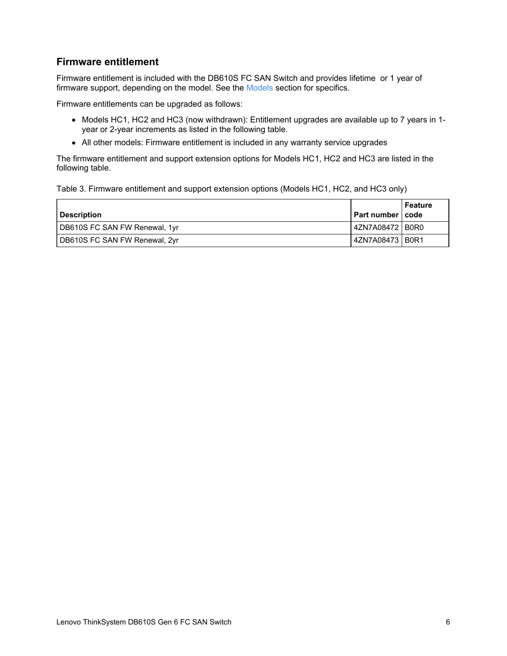## **Firmware entitlement**

Firmware entitlement is included with the DB610S FC SAN Switch and provides lifetime or 1 year of firmware support, depending on the model. See the [Models](#page-4-0) section for specifics.

Firmware entitlements can be upgraded as follows:

- Models HC1, HC2 and HC3 (now withdrawn): Entitlement upgrades are available up to 7 years in 1year or 2-year increments as listed in the following table.
- All other models: Firmware entitlement is included in any warranty service upgrades

The firmware entitlement and support extension options for Models HC1, HC2 and HC3 are listed in the following table.

Table 3. Firmware entitlement and support extension options (Models HC1, HC2, and HC3 only)

| <b>Description</b>            |                 | Feature<br>  Part number   code |
|-------------------------------|-----------------|---------------------------------|
| DB610S FC SAN FW Renewal, 1yr | 4ZN7A08472 B0R0 |                                 |
| DB610S FC SAN FW Renewal, 2yr | 4ZN7A08473 B0R1 |                                 |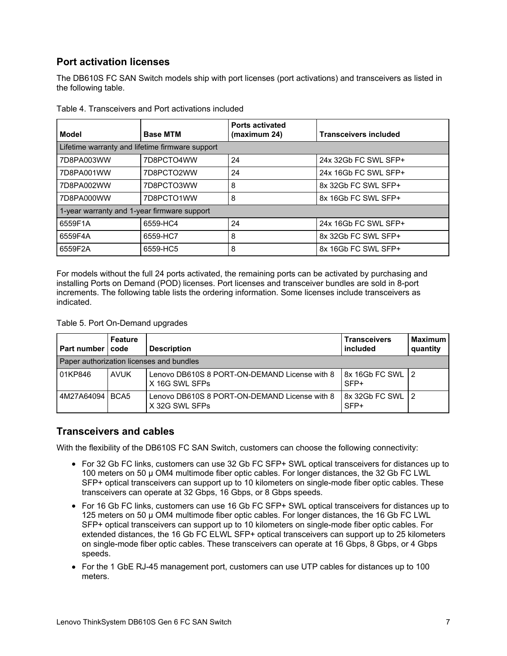## <span id="page-6-0"></span>**Port activation licenses**

The DB610S FC SAN Switch models ship with port licenses (port activations) and transceivers as listed in the following table.

| <b>Model</b>                                    | <b>Base MTM</b> | <b>Ports activated</b><br>(maximum 24) | <b>Transceivers included</b> |
|-------------------------------------------------|-----------------|----------------------------------------|------------------------------|
| Lifetime warranty and lifetime firmware support |                 |                                        |                              |
| 7D8PA003WW                                      | 7D8PCTO4WW      | 24                                     | 24x 32Gb FC SWL SFP+         |
| 7D8PA001WW                                      | 7D8PCTO2WW      | 24                                     | 24x 16Gb FC SWL SFP+         |
| 7D8PA002WW                                      | 7D8PCTO3WW      | 8                                      | 8x 32Gb FC SWL SFP+          |
| 7D8PA000WW                                      | 7D8PCTO1WW      | 8                                      | 8x 16Gb FC SWL SFP+          |
| 1-year warranty and 1-year firmware support     |                 |                                        |                              |
| 6559F1A                                         | 6559-HC4        | 24                                     | 24x 16Gb FC SWL SFP+         |
| 6559F4A                                         | 6559-HC7        | 8                                      | 8x 32Gb FC SWL SFP+          |
| 6559F2A                                         | 6559-HC5        | 8                                      | 8x 16Gb FC SWL SFP+          |

Table 4. Transceivers and Port activations included

For models without the full 24 ports activated, the remaining ports can be activated by purchasing and installing Ports on Demand (POD) licenses. Port licenses and transceiver bundles are sold in 8-port increments. The following table lists the ordering information. Some licenses include transceivers as indicated.

Table 5. Port On-Demand upgrades

| Part number I code | <b>Feature</b> | <b>Description</b>                                              | <b>Transceivers</b><br>included | <b>Maximum</b><br>quantity |
|--------------------|----------------|-----------------------------------------------------------------|---------------------------------|----------------------------|
|                    |                | Paper authorization licenses and bundles                        |                                 |                            |
| 01KP846            | <b>AVUK</b>    | Lenovo DB610S 8 PORT-ON-DEMAND License with 8<br>X 16G SWL SFPs | 8x 16Gb FC SWL 12<br>$SFP+$     |                            |
| 4M27A64094 BCA5    |                | Lenovo DB610S 8 PORT-ON-DEMAND License with 8<br>X 32G SWL SFPs | 8x 32Gb FC SWL 12<br>SFP+       |                            |

### **Transceivers and cables**

With the flexibility of the DB610S FC SAN Switch, customers can choose the following connectivity:

- For 32 Gb FC links, customers can use 32 Gb FC SFP+ SWL optical transceivers for distances up to 100 meters on 50 µ OM4 multimode fiber optic cables. For longer distances, the 32 Gb FC LWL SFP+ optical transceivers can support up to 10 kilometers on single-mode fiber optic cables. These transceivers can operate at 32 Gbps, 16 Gbps, or 8 Gbps speeds.
- For 16 Gb FC links, customers can use 16 Gb FC SFP+ SWL optical transceivers for distances up to 125 meters on 50 µ OM4 multimode fiber optic cables. For longer distances, the 16 Gb FC LWL SFP+ optical transceivers can support up to 10 kilometers on single-mode fiber optic cables. For extended distances, the 16 Gb FC ELWL SFP+ optical transceivers can support up to 25 kilometers on single-mode fiber optic cables. These transceivers can operate at 16 Gbps, 8 Gbps, or 4 Gbps speeds.
- For the 1 GbE RJ-45 management port, customers can use UTP cables for distances up to 100 meters.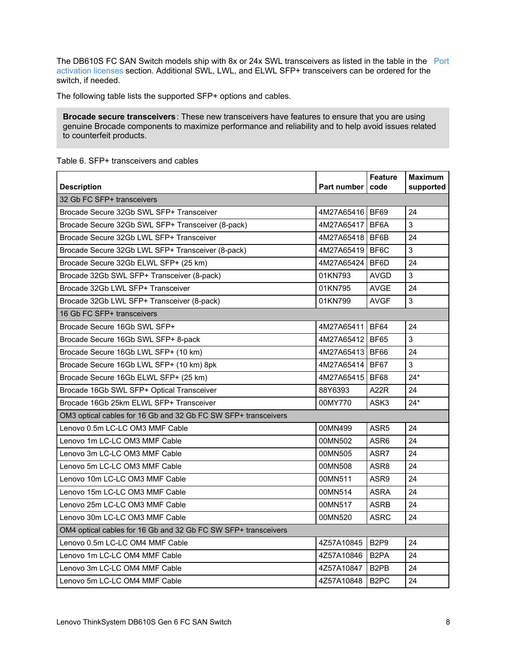The DB610S FC SAN Switch models ship with 8x or 24x SWL [transceivers](#page-6-0) as listed in the table in the Port activation licenses section. Additional SWL, LWL, and ELWL SFP+ transceivers can be ordered for the switch, if needed.

The following table lists the supported SFP+ options and cables.

**Brocade secure transceivers**: These new transceivers have features to ensure that you are using genuine Brocade components to maximize performance and reliability and to help avoid issues related to counterfeit products.

|                                                                | Part number     | <b>Feature</b><br>code        | <b>Maximum</b> |
|----------------------------------------------------------------|-----------------|-------------------------------|----------------|
| <b>Description</b><br>32 Gb FC SFP+ transceivers               |                 |                               | supported      |
| Brocade Secure 32Gb SWL SFP+ Transceiver                       | 4M27A65416 BF69 |                               | 24             |
|                                                                |                 |                               | 3              |
| Brocade Secure 32Gb SWL SFP+ Transceiver (8-pack)              | 4M27A65417      | BF6A                          |                |
| Brocade Secure 32Gb LWL SFP+ Transceiver                       | 4M27A65418      | BF6B                          | 24             |
| Brocade Secure 32Gb LWL SFP+ Transceiver (8-pack)              | 4M27A65419      | BF6C                          | 3              |
| Brocade Secure 32Gb ELWL SFP+ (25 km)                          | 4M27A65424      | BF6D                          | 24             |
| Brocade 32Gb SWL SFP+ Transceiver (8-pack)                     | 01KN793         | AVGD                          | $\mathbf{3}$   |
| Brocade 32Gb LWL SFP+ Transceiver                              | 01KN795         | <b>AVGE</b>                   | 24             |
| Brocade 32Gb LWL SFP+ Transceiver (8-pack)                     | 01KN799         | <b>AVGF</b>                   | 3              |
| 16 Gb FC SFP+ transceivers                                     |                 |                               |                |
| Brocade Secure 16Gb SWL SFP+                                   | 4M27A65411      | <b>BF64</b>                   | 24             |
| Brocade Secure 16Gb SWL SFP+ 8-pack                            | 4M27A65412      | <b>BF65</b>                   | 3              |
| Brocade Secure 16Gb LWL SFP+ (10 km)                           | 4M27A65413      | <b>BF66</b>                   | 24             |
| Brocade Secure 16Gb LWL SFP+ (10 km) 8pk                       | 4M27A65414      | <b>BF67</b>                   | 3              |
| Brocade Secure 16Gb ELWL SFP+ (25 km)                          | 4M27A65415      | <b>BF68</b>                   | $24*$          |
| Brocade 16Gb SWL SFP+ Optical Transceiver                      | 88Y6393         | A22R                          | 24             |
| Brocade 16Gb 25km ELWL SFP+ Transceiver                        | 00MY770         | ASK3                          | $24*$          |
| OM3 optical cables for 16 Gb and 32 Gb FC SW SFP+ transceivers |                 |                               |                |
| Lenovo 0.5m LC-LC OM3 MMF Cable                                | 00MN499         | ASR <sub>5</sub>              | 24             |
| Lenovo 1m LC-LC OM3 MMF Cable                                  | 00MN502         | ASR <sub>6</sub>              | 24             |
| Lenovo 3m LC-LC OM3 MMF Cable                                  | 00MN505         | ASR7                          | 24             |
| Lenovo 5m LC-LC OM3 MMF Cable                                  | 00MN508         | ASR8                          | 24             |
| Lenovo 10m LC-LC OM3 MMF Cable                                 | 00MN511         | ASR <sub>9</sub>              | 24             |
| Lenovo 15m LC-LC OM3 MMF Cable                                 | 00MN514         | <b>ASRA</b>                   | 24             |
| Lenovo 25m LC-LC OM3 MMF Cable                                 | 00MN517         | <b>ASRB</b>                   | 24             |
| Lenovo 30m LC-LC OM3 MMF Cable                                 | 00MN520         | <b>ASRC</b>                   | 24             |
| OM4 optical cables for 16 Gb and 32 Gb FC SW SFP+ transceivers |                 |                               |                |
| Lenovo 0.5m LC-LC OM4 MMF Cable                                | 4Z57A10845      | B <sub>2P9</sub>              | 24             |
| Lenovo 1m LC-LC OM4 MMF Cable                                  | 4Z57A10846      | B <sub>2</sub> PA             | 24             |
| Lenovo 3m LC-LC OM4 MMF Cable                                  | 4Z57A10847      | B <sub>2</sub> P <sub>B</sub> | 24             |
| Lenovo 5m LC-LC OM4 MMF Cable                                  | 4Z57A10848      | B <sub>2</sub> PC             | 24             |

Table 6. SFP+ transceivers and cables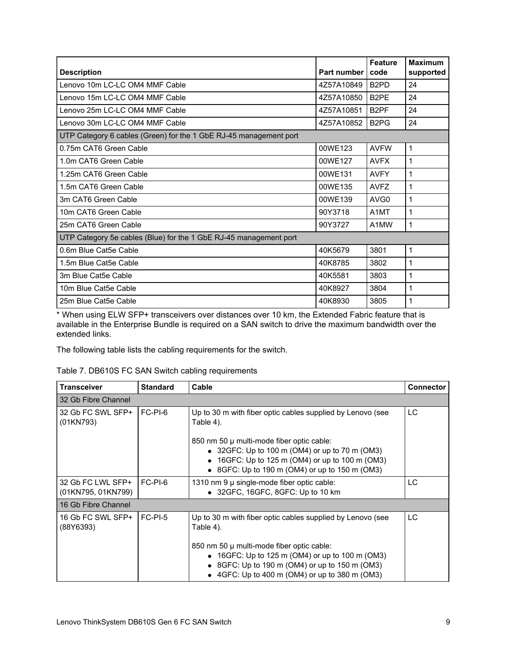| <b>Description</b>                                                | Part number | <b>Feature</b><br>code        | <b>Maximum</b><br>supported |
|-------------------------------------------------------------------|-------------|-------------------------------|-----------------------------|
| Lenovo 10m LC-LC OM4 MMF Cable                                    | 4Z57A10849  | B <sub>2</sub> P <sub>D</sub> | 24                          |
| Lenovo 15m LC-LC OM4 MMF Cable                                    | 4Z57A10850  | B <sub>2</sub> PF             | 24                          |
| Lenovo 25m LC-LC OM4 MMF Cable                                    | 4Z57A10851  | B <sub>2</sub> PF             | 24                          |
| Lenovo 30m LC-LC OM4 MMF Cable                                    | 4Z57A10852  | B <sub>2</sub> P <sub>G</sub> | 24                          |
| UTP Category 6 cables (Green) for the 1 GbE RJ-45 management port |             |                               |                             |
| 0.75m CAT6 Green Cable                                            | 00WE123     | <b>AVFW</b>                   | 1                           |
| 1.0m CAT6 Green Cable                                             | 00WE127     | <b>AVFX</b>                   | 1                           |
| 1.25m CAT6 Green Cable                                            | 00WE131     | <b>AVFY</b>                   | 1                           |
| 1.5m CAT6 Green Cable                                             | 00WE135     | <b>AVFZ</b>                   | 1                           |
| 3m CAT6 Green Cable                                               | 00WE139     | AVG <sub>0</sub>              | 1                           |
| 10m CAT6 Green Cable                                              | 90Y3718     | A <sub>1</sub> MT             | 1                           |
| 25m CAT6 Green Cable                                              | 90Y3727     | A1MW                          | 1                           |
| UTP Category 5e cables (Blue) for the 1 GbE RJ-45 management port |             |                               |                             |
| 0.6m Blue Cat5e Cable                                             | 40K5679     | 3801                          | 1                           |
| 1.5m Blue Cat5e Cable                                             | 40K8785     | 3802                          | 1                           |
| 3m Blue Cat5e Cable                                               | 40K5581     | 3803                          | 1                           |
| 10m Blue Cat5e Cable                                              | 40K8927     | 3804                          | 1                           |
| 25m Blue Cat5e Cable                                              | 40K8930     | 3805                          | 1                           |

\* When using ELW SFP+ transceivers over distances over 10 km, the Extended Fabric feature that is available in the Enterprise Bundle is required on a SAN switch to drive the maximum bandwidth over the extended links.

The following table lists the cabling requirements for the switch.

| <b>Transceiver</b>                      | <b>Standard</b> | Cable                                                                                                                                                                                                                                                                               | <b>Connector</b> |
|-----------------------------------------|-----------------|-------------------------------------------------------------------------------------------------------------------------------------------------------------------------------------------------------------------------------------------------------------------------------------|------------------|
| 32 Gb Fibre Channel                     |                 |                                                                                                                                                                                                                                                                                     |                  |
| 32 Gb FC SWL SFP+<br>(01KN793)          | $FC-PI-6$       | Up to 30 m with fiber optic cables supplied by Lenovo (see<br>Table 4).<br>850 nm 50 µ multi-mode fiber optic cable:<br>$\bullet$ 32GFC: Up to 100 m (OM4) or up to 70 m (OM3)<br>• 16GFC: Up to 125 m (OM4) or up to 100 m (OM3)<br>• 8GFC: Up to 190 m (OM4) or up to 150 m (OM3) | LC.              |
| 32 Gb FC LWL SFP+<br>(01KN795, 01KN799) | FC-PI-6         | 1310 nm 9 µ single-mode fiber optic cable:<br>• 32GFC, 16GFC, 8GFC: Up to 10 km                                                                                                                                                                                                     | LC.              |
| 16 Gb Fibre Channel                     |                 |                                                                                                                                                                                                                                                                                     |                  |
| 16 Gb FC SWL SFP+<br>(88Y6393)          | $FC-PI-5$       | Up to 30 m with fiber optic cables supplied by Lenovo (see<br>Table 4).<br>850 nm 50 µ multi-mode fiber optic cable:<br>• 16GFC: Up to 125 m (OM4) or up to 100 m (OM3)<br>• 8GFC: Up to 190 m (OM4) or up to 150 m (OM3)<br>4GFC: Up to 400 m (OM4) or up to 380 m (OM3)           | LC               |

Table 7. DB610S FC SAN Switch cabling requirements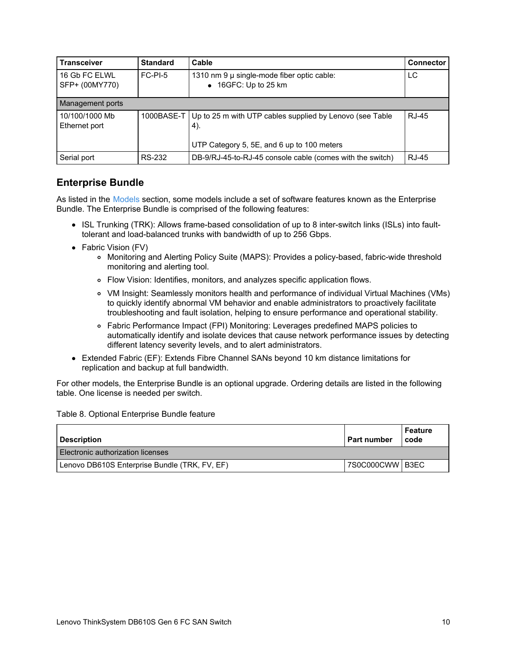| <b>Transceiver</b>              | <b>Standard</b> | Cable                                                                      | <b>Connector</b> |
|---------------------------------|-----------------|----------------------------------------------------------------------------|------------------|
| 16 Gb FC ELWL<br>SFP+ (00MY770) | $FC-PI-5$       | 1310 nm 9 µ single-mode fiber optic cable:<br>$\bullet$ 16GFC: Up to 25 km | LC               |
| Management ports                |                 |                                                                            |                  |
| 10/100/1000 Mb<br>Ethernet port | 1000BASE-T      | Up to 25 m with UTP cables supplied by Lenovo (see Table<br>4).            | RJ-45            |
|                                 |                 | UTP Category 5, 5E, and 6 up to 100 meters                                 |                  |
| Serial port                     | <b>RS-232</b>   | DB-9/RJ-45-to-RJ-45 console cable (comes with the switch)                  | <b>RJ-45</b>     |

## <span id="page-9-0"></span>**Enterprise Bundle**

As listed in the [Models](#page-4-0) section, some models include a set of software features known as the Enterprise Bundle. The Enterprise Bundle is comprised of the following features:

- ISL Trunking (TRK): Allows frame-based consolidation of up to 8 inter-switch links (ISLs) into faulttolerant and load-balanced trunks with bandwidth of up to 256 Gbps.
- Fabric Vision (FV)
	- Monitoring and Alerting Policy Suite (MAPS): Provides a policy-based, fabric-wide threshold monitoring and alerting tool.
	- Flow Vision: Identifies, monitors, and analyzes specific application flows.
	- VM Insight: Seamlessly monitors health and performance of individual Virtual Machines (VMs) to quickly identify abnormal VM behavior and enable administrators to proactively facilitate troubleshooting and fault isolation, helping to ensure performance and operational stability.
	- Fabric Performance Impact (FPI) Monitoring: Leverages predefined MAPS policies to automatically identify and isolate devices that cause network performance issues by detecting different latency severity levels, and to alert administrators.
- Extended Fabric (EF): Extends Fibre Channel SANs beyond 10 km distance limitations for replication and backup at full bandwidth.

For other models, the Enterprise Bundle is an optional upgrade. Ordering details are listed in the following table. One license is needed per switch.

Table 8. Optional Enterprise Bundle feature

| <b>Description</b>                            | <b>Part number</b> | Feature<br>code |
|-----------------------------------------------|--------------------|-----------------|
| Electronic authorization licenses             |                    |                 |
| Lenovo DB610S Enterprise Bundle (TRK, FV, EF) | 7S0C000CWW B3EC    |                 |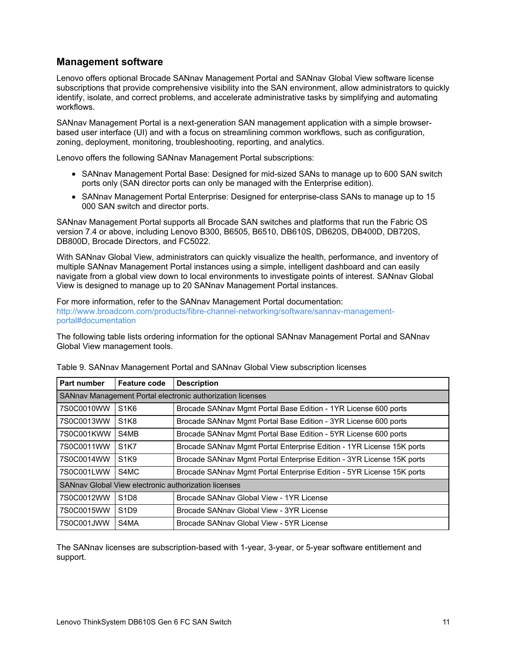## **Management software**

Lenovo offers optional Brocade SANnav Management Portal and SANnav Global View software license subscriptions that provide comprehensive visibility into the SAN environment, allow administrators to quickly identify, isolate, and correct problems, and accelerate administrative tasks by simplifying and automating workflows.

SANnav Management Portal is a next-generation SAN management application with a simple browserbased user interface (UI) and with a focus on streamlining common workflows, such as configuration, zoning, deployment, monitoring, troubleshooting, reporting, and analytics.

Lenovo offers the following SANnav Management Portal subscriptions:

- SANnav Management Portal Base: Designed for mid-sized SANs to manage up to 600 SAN switch ports only (SAN director ports can only be managed with the Enterprise edition).
- SANnav Management Portal Enterprise: Designed for enterprise-class SANs to manage up to 15 000 SAN switch and director ports.

SANnav Management Portal supports all Brocade SAN switches and platforms that run the Fabric OS version 7.4 or above, including Lenovo B300, B6505, B6510, DB610S, DB620S, DB400D, DB720S, DB800D, Brocade Directors, and FC5022.

With SANnav Global View, administrators can quickly visualize the health, performance, and inventory of multiple SANnav Management Portal instances using a simple, intelligent dashboard and can easily navigate from a global view down to local environments to investigate points of interest. SANnav Global View is designed to manage up to 20 SANnav Management Portal instances.

For more information, refer to the SANnav Management Portal documentation: [http://www.broadcom.com/products/fibre-channel-networking/software/sannav-management](http://www.broadcom.com/products/fibre-channel-networking/software/sannav-management-portal#documentation)portal#documentation

The following table lists ordering information for the optional SANnav Management Portal and SANnav Global View management tools.

| <b>Part number</b>                                         | <b>Feature code</b>           | <b>Description</b>                                                    |
|------------------------------------------------------------|-------------------------------|-----------------------------------------------------------------------|
| SANnav Management Portal electronic authorization licenses |                               |                                                                       |
| 7S0C0010WW                                                 | S <sub>1</sub> K <sub>6</sub> | Brocade SANnav Mgmt Portal Base Edition - 1YR License 600 ports       |
| 7S0C0013WW                                                 | S <sub>1</sub> K <sub>8</sub> | Brocade SANnav Mgmt Portal Base Edition - 3YR License 600 ports       |
| 7S0C001KWW                                                 | S4MB                          | Brocade SANnav Mgmt Portal Base Edition - 5YR License 600 ports       |
| 7S0C0011WW                                                 | <b>S1K7</b>                   | Brocade SANnav Mgmt Portal Enterprise Edition - 1YR License 15K ports |
| 7S0C0014WW                                                 | S <sub>1</sub> K <sub>9</sub> | Brocade SANnav Mgmt Portal Enterprise Edition - 3YR License 15K ports |
| 7S0C001LWW                                                 | S4MC                          | Brocade SANnav Mgmt Portal Enterprise Edition - 5YR License 15K ports |
| SANnav Global View electronic authorization licenses       |                               |                                                                       |
| 7S0C0012WW                                                 | S <sub>1</sub> D <sub>8</sub> | Brocade SANnav Global View - 1YR License                              |
| 7S0C0015WW                                                 | S <sub>1</sub> D <sub>9</sub> | Brocade SANnav Global View - 3YR License                              |
| 7S0C001JWW                                                 | S4MA                          | Brocade SANnav Global View - 5YR License                              |

Table 9. SANnav Management Portal and SANnav Global View subscription licenses

The SANnav licenses are subscription-based with 1-year, 3-year, or 5-year software entitlement and support.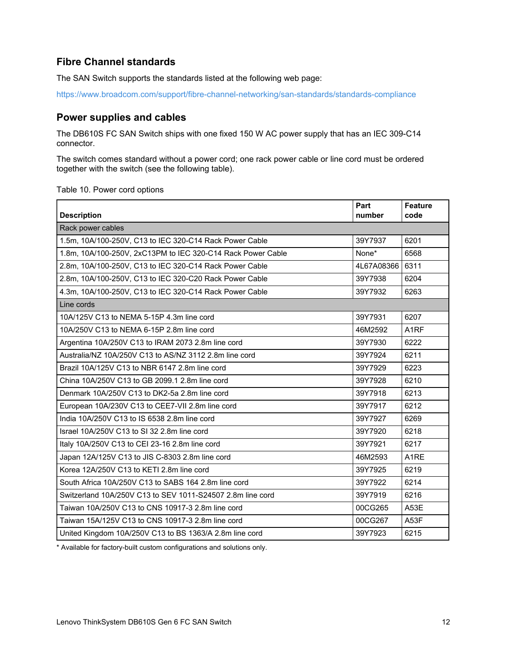## **Fibre Channel standards**

The SAN Switch supports the standards listed at the following web page:

<https://www.broadcom.com/support/fibre-channel-networking/san-standards/standards-compliance>

### <span id="page-11-0"></span>**Power supplies and cables**

The DB610S FC SAN Switch ships with one fixed 150 W AC power supply that has an IEC 309-C14 connector.

The switch comes standard without a power cord; one rack power cable or line cord must be ordered together with the switch (see the following table).

Table 10. Power cord options

| <b>Description</b>                                          | Part<br>number | <b>Feature</b><br>code |
|-------------------------------------------------------------|----------------|------------------------|
| Rack power cables                                           |                |                        |
| 1.5m, 10A/100-250V, C13 to IEC 320-C14 Rack Power Cable     | 39Y7937        | 6201                   |
| 1.8m, 10A/100-250V, 2xC13PM to IEC 320-C14 Rack Power Cable | None*          | 6568                   |
| 2.8m, 10A/100-250V, C13 to IEC 320-C14 Rack Power Cable     | 4L67A08366     | 6311                   |
| 2.8m, 10A/100-250V, C13 to IEC 320-C20 Rack Power Cable     | 39Y7938        | 6204                   |
| 4.3m, 10A/100-250V, C13 to IEC 320-C14 Rack Power Cable     | 39Y7932        | 6263                   |
| Line cords                                                  |                |                        |
| 10A/125V C13 to NEMA 5-15P 4.3m line cord                   | 39Y7931        | 6207                   |
| 10A/250V C13 to NEMA 6-15P 2.8m line cord                   | 46M2592        | A <sub>1</sub> RF      |
| Argentina 10A/250V C13 to IRAM 2073 2.8m line cord          | 39Y7930        | 6222                   |
| Australia/NZ 10A/250V C13 to AS/NZ 3112 2.8m line cord      | 39Y7924        | 6211                   |
| Brazil 10A/125V C13 to NBR 6147 2.8m line cord              | 39Y7929        | 6223                   |
| China 10A/250V C13 to GB 2099.1 2.8m line cord              | 39Y7928        | 6210                   |
| Denmark 10A/250V C13 to DK2-5a 2.8m line cord               | 39Y7918        | 6213                   |
| European 10A/230V C13 to CEE7-VII 2.8m line cord            | 39Y7917        | 6212                   |
| India 10A/250V C13 to IS 6538 2.8m line cord                | 39Y7927        | 6269                   |
| Israel 10A/250V C13 to SI 32 2.8m line cord                 | 39Y7920        | 6218                   |
| Italy 10A/250V C13 to CEI 23-16 2.8m line cord              | 39Y7921        | 6217                   |
| Japan 12A/125V C13 to JIS C-8303 2.8m line cord             | 46M2593        | A <sub>1</sub> RE      |
| Korea 12A/250V C13 to KETI 2.8m line cord                   | 39Y7925        | 6219                   |
| South Africa 10A/250V C13 to SABS 164 2.8m line cord        | 39Y7922        | 6214                   |
| Switzerland 10A/250V C13 to SEV 1011-S24507 2.8m line cord  | 39Y7919        | 6216                   |
| Taiwan 10A/250V C13 to CNS 10917-3 2.8m line cord           | 00CG265        | A53E                   |
| Taiwan 15A/125V C13 to CNS 10917-3 2.8m line cord           | 00CG267        | <b>A53F</b>            |
| United Kingdom 10A/250V C13 to BS 1363/A 2.8m line cord     | 39Y7923        | 6215                   |

\* Available for factory-built custom configurations and solutions only.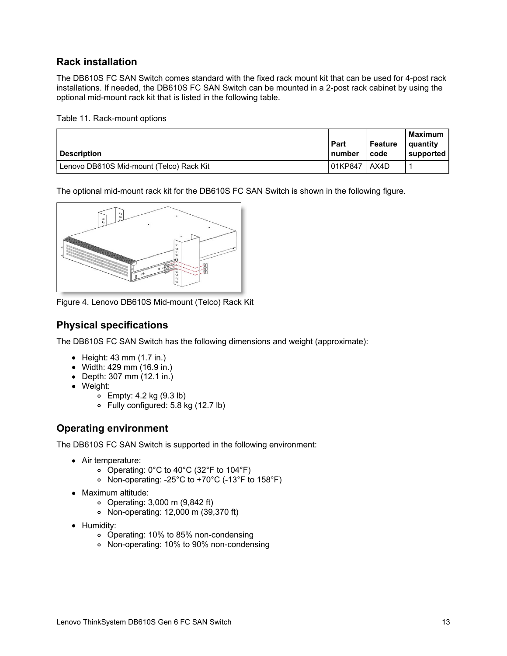## **Rack installation**

The DB610S FC SAN Switch comes standard with the fixed rack mount kit that can be used for 4-post rack installations. If needed, the DB610S FC SAN Switch can be mounted in a 2-post rack cabinet by using the optional mid-mount rack kit that is listed in the following table.

Table 11. Rack-mount options

| <b>Description</b>                       | Part<br>number | Feature<br>code | <b>Maximum</b><br>quantity<br>supported |
|------------------------------------------|----------------|-----------------|-----------------------------------------|
| Lenovo DB610S Mid-mount (Telco) Rack Kit | 01KP847        | AX4D            |                                         |

The optional mid-mount rack kit for the DB610S FC SAN Switch is shown in the following figure.



Figure 4. Lenovo DB610S Mid-mount (Telco) Rack Kit

## **Physical specifications**

The DB610S FC SAN Switch has the following dimensions and weight (approximate):

- $\bullet$  Height: 43 mm (1.7 in.)
- Width: 429 mm (16.9 in.)
- Depth: 307 mm (12.1 in.)
- Weight:
	- $\circ$  Empty: 4.2 kg (9.3 lb)
	- Fully configured: 5.8 kg (12.7 lb)

## **Operating environment**

The DB610S FC SAN Switch is supported in the following environment:

- Air temperature:
	- Operating: 0°C to 40°C (32°F to 104°F)
	- Non-operating: -25°C to +70°C (-13°F to 158°F)
- Maximum altitude:
	- Operating: 3,000 m (9,842 ft)
	- Non-operating: 12,000 m (39,370 ft)
- Humidity:
	- Operating: 10% to 85% non-condensing
	- Non-operating: 10% to 90% non-condensing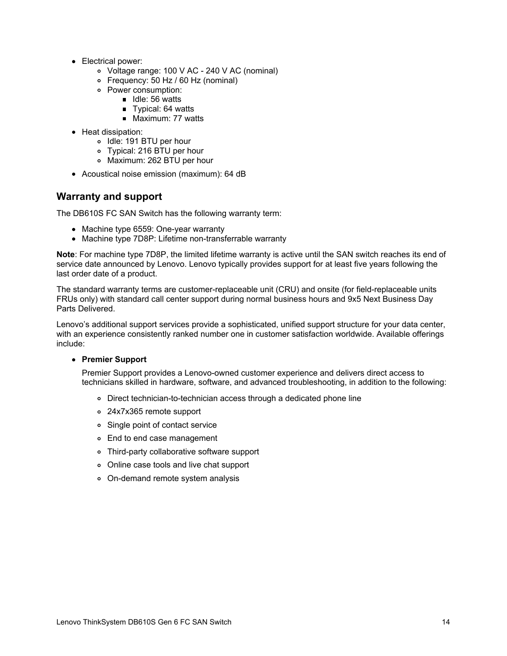- Electrical power:
	- Voltage range: 100 V AC 240 V AC (nominal)
	- Frequency: 50 Hz / 60 Hz (nominal)
	- Power consumption:
		- $\blacksquare$  Idle: 56 watts
		- Typical: 64 watts
		- $Maximum: 77 watts$
- Heat dissipation:
	- o Idle: 191 BTU per hour
	- Typical: 216 BTU per hour
	- o Maximum: 262 BTU per hour
- Acoustical noise emission (maximum): 64 dB

### **Warranty and support**

The DB610S FC SAN Switch has the following warranty term:

- Machine type 6559: One-year warranty
- Machine type 7D8P: Lifetime non-transferrable warranty

**Note**: For machine type 7D8P, the limited lifetime warranty is active until the SAN switch reaches its end of service date announced by Lenovo. Lenovo typically provides support for at least five years following the last order date of a product.

The standard warranty terms are customer-replaceable unit (CRU) and onsite (for field-replaceable units FRUs only) with standard call center support during normal business hours and 9x5 Next Business Day Parts Delivered.

Lenovo's additional support services provide a sophisticated, unified support structure for your data center, with an experience consistently ranked number one in customer satisfaction worldwide. Available offerings include:

#### **Premier Support**

Premier Support provides a Lenovo-owned customer experience and delivers direct access to technicians skilled in hardware, software, and advanced troubleshooting, in addition to the following:

- Direct technician-to-technician access through a dedicated phone line
- 24x7x365 remote support
- Single point of contact service
- End to end case management
- Third-party collaborative software support
- Online case tools and live chat support
- On-demand remote system analysis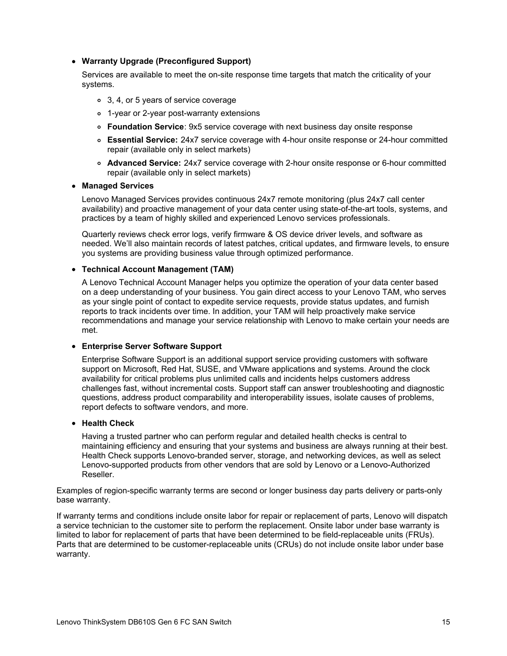#### **Warranty Upgrade (Preconfigured Support)**

Services are available to meet the on-site response time targets that match the criticality of your systems.

- 3, 4, or 5 years of service coverage
- 1-year or 2-year post-warranty extensions
- **Foundation Service**: 9x5 service coverage with next business day onsite response
- **Essential Service:** 24x7 service coverage with 4-hour onsite response or 24-hour committed repair (available only in select markets)
- **Advanced Service:** 24x7 service coverage with 2-hour onsite response or 6-hour committed repair (available only in select markets)

#### **Managed Services**

Lenovo Managed Services provides continuous 24x7 remote monitoring (plus 24x7 call center availability) and proactive management of your data center using state-of-the-art tools, systems, and practices by a team of highly skilled and experienced Lenovo services professionals.

Quarterly reviews check error logs, verify firmware & OS device driver levels, and software as needed. We'll also maintain records of latest patches, critical updates, and firmware levels, to ensure you systems are providing business value through optimized performance.

#### **Technical Account Management (TAM)**

A Lenovo Technical Account Manager helps you optimize the operation of your data center based on a deep understanding of your business. You gain direct access to your Lenovo TAM, who serves as your single point of contact to expedite service requests, provide status updates, and furnish reports to track incidents over time. In addition, your TAM will help proactively make service recommendations and manage your service relationship with Lenovo to make certain your needs are met.

#### **Enterprise Server Software Support**

Enterprise Software Support is an additional support service providing customers with software support on Microsoft, Red Hat, SUSE, and VMware applications and systems. Around the clock availability for critical problems plus unlimited calls and incidents helps customers address challenges fast, without incremental costs. Support staff can answer troubleshooting and diagnostic questions, address product comparability and interoperability issues, isolate causes of problems, report defects to software vendors, and more.

#### **Health Check**

Having a trusted partner who can perform regular and detailed health checks is central to maintaining efficiency and ensuring that your systems and business are always running at their best. Health Check supports Lenovo-branded server, storage, and networking devices, as well as select Lenovo-supported products from other vendors that are sold by Lenovo or a Lenovo-Authorized Reseller.

Examples of region-specific warranty terms are second or longer business day parts delivery or parts-only base warranty.

If warranty terms and conditions include onsite labor for repair or replacement of parts, Lenovo will dispatch a service technician to the customer site to perform the replacement. Onsite labor under base warranty is limited to labor for replacement of parts that have been determined to be field-replaceable units (FRUs). Parts that are determined to be customer-replaceable units (CRUs) do not include onsite labor under base warranty.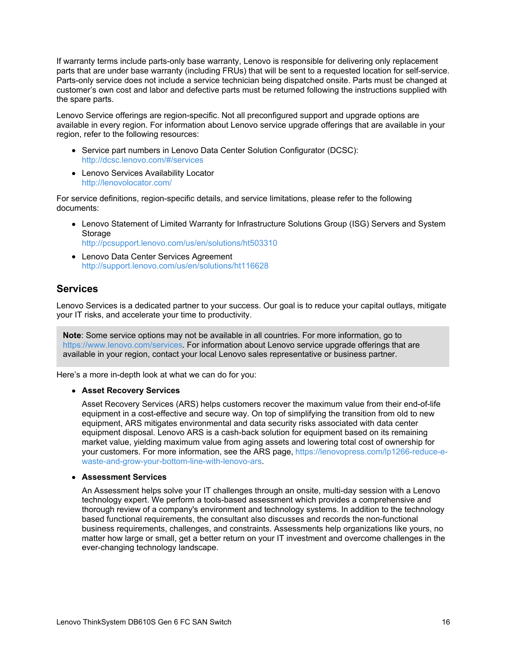If warranty terms include parts-only base warranty, Lenovo is responsible for delivering only replacement parts that are under base warranty (including FRUs) that will be sent to a requested location for self-service. Parts-only service does not include a service technician being dispatched onsite. Parts must be changed at customer's own cost and labor and defective parts must be returned following the instructions supplied with the spare parts.

Lenovo Service offerings are region-specific. Not all preconfigured support and upgrade options are available in every region. For information about Lenovo service upgrade offerings that are available in your region, refer to the following resources:

- Service part numbers in Lenovo Data Center Solution Configurator (DCSC): <http://dcsc.lenovo.com/#/services>
- Lenovo Services Availability Locator <http://lenovolocator.com/>

For service definitions, region-specific details, and service limitations, please refer to the following documents:

- Lenovo Statement of Limited Warranty for Infrastructure Solutions Group (ISG) Servers and System Storage <http://pcsupport.lenovo.com/us/en/solutions/ht503310>
- Lenovo Data Center Services Agreement <http://support.lenovo.com/us/en/solutions/ht116628>

### **Services**

Lenovo Services is a dedicated partner to your success. Our goal is to reduce your capital outlays, mitigate your IT risks, and accelerate your time to productivity.

**Note**: Some service options may not be available in all countries. For more information, go to <https://www.lenovo.com/services>. For information about Lenovo service upgrade offerings that are available in your region, contact your local Lenovo sales representative or business partner.

Here's a more in-depth look at what we can do for you:

#### **Asset Recovery Services**

Asset Recovery Services (ARS) helps customers recover the maximum value from their end-of-life equipment in a cost-effective and secure way. On top of simplifying the transition from old to new equipment, ARS mitigates environmental and data security risks associated with data center equipment disposal. Lenovo ARS is a cash-back solution for equipment based on its remaining market value, yielding maximum value from aging assets and lowering total cost of ownership for your customers. For more information, see the ARS page, https://lenovopress.com/lp1266-reduce-e[waste-and-grow-your-bottom-line-with-lenovo-ars.](https://lenovopress.com/lp1266-reduce-e-waste-and-grow-your-bottom-line-with-lenovo-ars)

#### **Assessment Services**

An Assessment helps solve your IT challenges through an onsite, multi-day session with a Lenovo technology expert. We perform a tools-based assessment which provides a comprehensive and thorough review of a company's environment and technology systems. In addition to the technology based functional requirements, the consultant also discusses and records the non-functional business requirements, challenges, and constraints. Assessments help organizations like yours, no matter how large or small, get a better return on your IT investment and overcome challenges in the ever-changing technology landscape.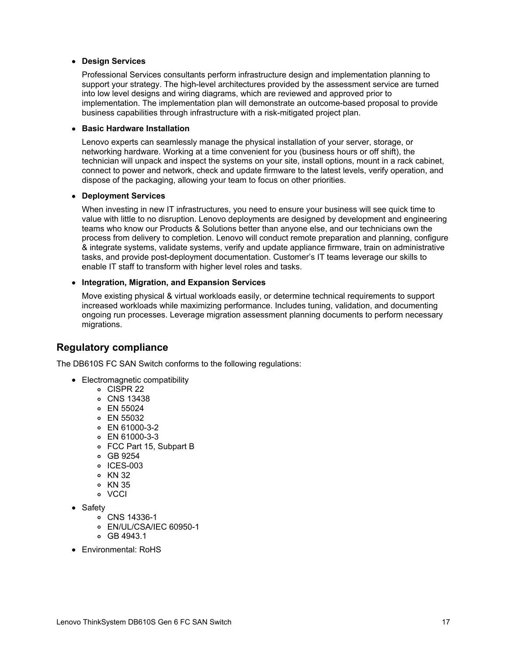#### **Design Services**

Professional Services consultants perform infrastructure design and implementation planning to support your strategy. The high-level architectures provided by the assessment service are turned into low level designs and wiring diagrams, which are reviewed and approved prior to implementation. The implementation plan will demonstrate an outcome-based proposal to provide business capabilities through infrastructure with a risk-mitigated project plan.

#### **Basic Hardware Installation**

Lenovo experts can seamlessly manage the physical installation of your server, storage, or networking hardware. Working at a time convenient for you (business hours or off shift), the technician will unpack and inspect the systems on your site, install options, mount in a rack cabinet, connect to power and network, check and update firmware to the latest levels, verify operation, and dispose of the packaging, allowing your team to focus on other priorities.

#### **Deployment Services**

When investing in new IT infrastructures, you need to ensure your business will see quick time to value with little to no disruption. Lenovo deployments are designed by development and engineering teams who know our Products & Solutions better than anyone else, and our technicians own the process from delivery to completion. Lenovo will conduct remote preparation and planning, configure & integrate systems, validate systems, verify and update appliance firmware, train on administrative tasks, and provide post-deployment documentation. Customer's IT teams leverage our skills to enable IT staff to transform with higher level roles and tasks.

#### **Integration, Migration, and Expansion Services**

Move existing physical & virtual workloads easily, or determine technical requirements to support increased workloads while maximizing performance. Includes tuning, validation, and documenting ongoing run processes. Leverage migration assessment planning documents to perform necessary migrations.

### **Regulatory compliance**

The DB610S FC SAN Switch conforms to the following regulations:

- Electromagnetic compatibility
	- CISPR 22
	- CNS 13438
	- EN 55024
	- EN 55032
	- EN 61000-3-2
	- EN 61000-3-3
	- FCC Part 15, Subpart B
	- GB 9254
	- o ICES-003
	- KN 32
	- o KN 35
	- VCCI
- Safety
	- CNS 14336-1
	- EN/UL/CSA/IEC 60950-1
	- GB 4943.1
- Environmental: RoHS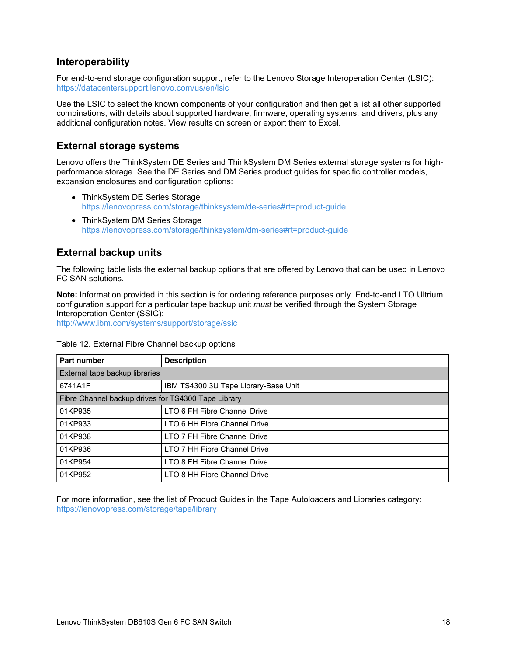## **Interoperability**

For end-to-end storage configuration support, refer to the Lenovo Storage Interoperation Center (LSIC): <https://datacentersupport.lenovo.com/us/en/lsic>

Use the LSIC to select the known components of your configuration and then get a list all other supported combinations, with details about supported hardware, firmware, operating systems, and drivers, plus any additional configuration notes. View results on screen or export them to Excel.

### **External storage systems**

Lenovo offers the ThinkSystem DE Series and ThinkSystem DM Series external storage systems for highperformance storage. See the DE Series and DM Series product guides for specific controller models, expansion enclosures and configuration options:

- ThinkSystem DE Series Storage <https://lenovopress.com/storage/thinksystem/de-series#rt=product-guide>
- ThinkSystem DM Series Storage <https://lenovopress.com/storage/thinksystem/dm-series#rt=product-guide>

## **External backup units**

The following table lists the external backup options that are offered by Lenovo that can be used in Lenovo FC SAN solutions.

**Note:** Information provided in this section is for ordering reference purposes only. End-to-end LTO Ultrium configuration support for a particular tape backup unit *must* be verified through the System Storage Interoperation Center (SSIC):

<http://www.ibm.com/systems/support/storage/ssic>

| Part number                                         | <b>Description</b>                   |  |
|-----------------------------------------------------|--------------------------------------|--|
| External tape backup libraries                      |                                      |  |
| 6741A1F                                             | IBM TS4300 3U Tape Library-Base Unit |  |
| Fibre Channel backup drives for TS4300 Tape Library |                                      |  |
| 01KP935                                             | LTO 6 FH Fibre Channel Drive         |  |
| 01KP933                                             | LTO 6 HH Fibre Channel Drive         |  |
| 01KP938                                             | LTO 7 FH Fibre Channel Drive         |  |
| 01KP936                                             | LTO 7 HH Fibre Channel Drive         |  |
| 01KP954                                             | LTO 8 FH Fibre Channel Drive         |  |
| 01KP952                                             | LTO 8 HH Fibre Channel Drive         |  |

Table 12. External Fibre Channel backup options

For more information, see the list of Product Guides in the Tape Autoloaders and Libraries category: <https://lenovopress.com/storage/tape/library>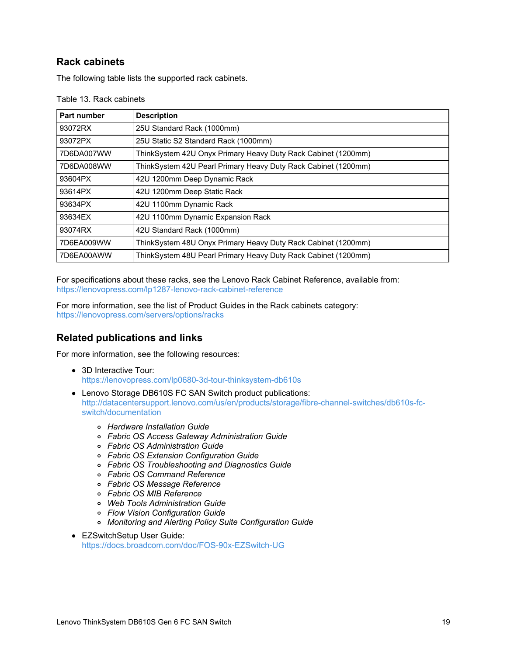## **Rack cabinets**

The following table lists the supported rack cabinets.

| <b>Part number</b> | <b>Description</b>                                             |
|--------------------|----------------------------------------------------------------|
| 93072RX            | 25U Standard Rack (1000mm)                                     |
| 93072PX            | 25U Static S2 Standard Rack (1000mm)                           |
| 7D6DA007WW         | ThinkSystem 42U Onyx Primary Heavy Duty Rack Cabinet (1200mm)  |
| 7D6DA008WW         | ThinkSystem 42U Pearl Primary Heavy Duty Rack Cabinet (1200mm) |
| 93604PX            | 42U 1200mm Deep Dynamic Rack                                   |
| 93614PX            | 42U 1200mm Deep Static Rack                                    |
| 93634PX            | 42U 1100mm Dynamic Rack                                        |
| 93634EX            | 42U 1100mm Dynamic Expansion Rack                              |
| 93074RX            | 42U Standard Rack (1000mm)                                     |
| 7D6EA009WW         | ThinkSystem 48U Onyx Primary Heavy Duty Rack Cabinet (1200mm)  |
| 7D6EA00AWW         | ThinkSystem 48U Pearl Primary Heavy Duty Rack Cabinet (1200mm) |

Table 13. Rack cabinets

For specifications about these racks, see the Lenovo Rack Cabinet Reference, available from: <https://lenovopress.com/lp1287-lenovo-rack-cabinet-reference>

For more information, see the list of Product Guides in the Rack cabinets category: <https://lenovopress.com/servers/options/racks>

## **Related publications and links**

For more information, see the following resources:

- 3D Interactive Tour: <https://lenovopress.com/lp0680-3d-tour-thinksystem-db610s>
- Lenovo Storage DB610S FC SAN Switch product publications: [http://datacentersupport.lenovo.com/us/en/products/storage/fibre-channel-switches/db610s-fc](http://datacentersupport.lenovo.com/us/en/products/storage/fibre-channel-switches/db610s-fc-switch/documentation)switch/documentation
	- *Hardware Installation Guide*
	- *Fabric OS Access Gateway Administration Guide*
	- *Fabric OS Administration Guide*
	- *Fabric OS Extension Configuration Guide*
	- *Fabric OS Troubleshooting and Diagnostics Guide*
	- *Fabric OS Command Reference*
	- *Fabric OS Message Reference*
	- *Fabric OS MIB Reference*
	- *Web Tools Administration Guide*
	- *Flow Vision Configuration Guide*
	- *Monitoring and Alerting Policy Suite Configuration Guide*
- EZSwitchSetup User Guide: <https://docs.broadcom.com/doc/FOS-90x-EZSwitch-UG>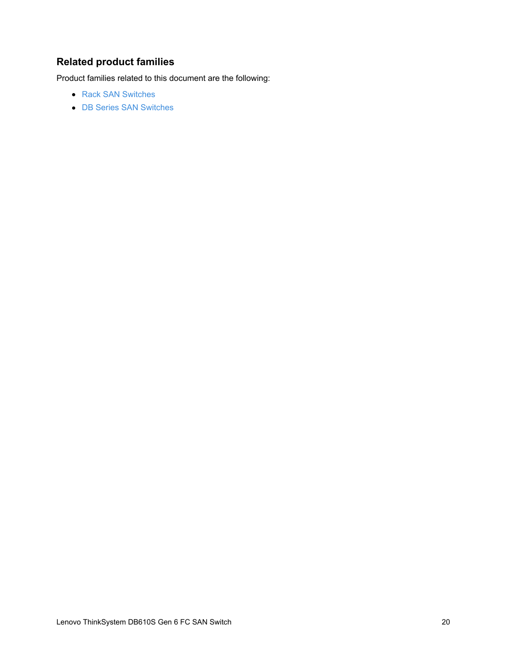# **Related product families**

Product families related to this document are the following:

- Rack SAN [Switches](https://lenovopress.com/storage/switches/rack)
- DB Series SAN [Switches](https://lenovopress.com/storage/thinksystem/db-series)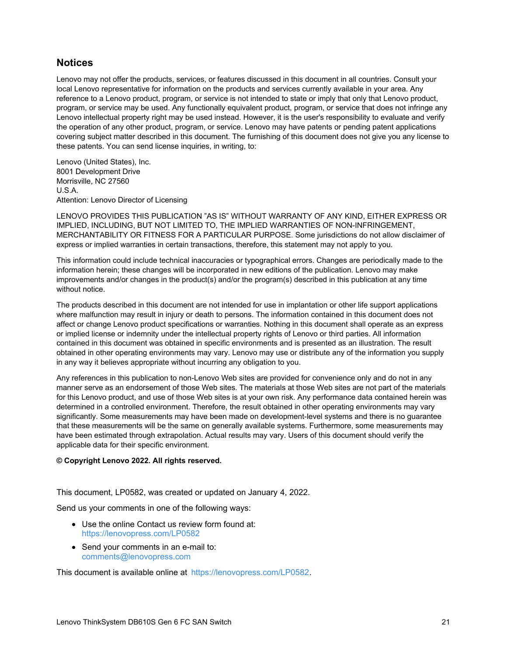### **Notices**

Lenovo may not offer the products, services, or features discussed in this document in all countries. Consult your local Lenovo representative for information on the products and services currently available in your area. Any reference to a Lenovo product, program, or service is not intended to state or imply that only that Lenovo product, program, or service may be used. Any functionally equivalent product, program, or service that does not infringe any Lenovo intellectual property right may be used instead. However, it is the user's responsibility to evaluate and verify the operation of any other product, program, or service. Lenovo may have patents or pending patent applications covering subject matter described in this document. The furnishing of this document does not give you any license to these patents. You can send license inquiries, in writing, to:

Lenovo (United States), Inc. 8001 Development Drive Morrisville, NC 27560 U.S.A. Attention: Lenovo Director of Licensing

LENOVO PROVIDES THIS PUBLICATION "AS IS" WITHOUT WARRANTY OF ANY KIND, EITHER EXPRESS OR IMPLIED, INCLUDING, BUT NOT LIMITED TO, THE IMPLIED WARRANTIES OF NON-INFRINGEMENT, MERCHANTABILITY OR FITNESS FOR A PARTICULAR PURPOSE. Some jurisdictions do not allow disclaimer of express or implied warranties in certain transactions, therefore, this statement may not apply to you.

This information could include technical inaccuracies or typographical errors. Changes are periodically made to the information herein; these changes will be incorporated in new editions of the publication. Lenovo may make improvements and/or changes in the product(s) and/or the program(s) described in this publication at any time without notice.

The products described in this document are not intended for use in implantation or other life support applications where malfunction may result in injury or death to persons. The information contained in this document does not affect or change Lenovo product specifications or warranties. Nothing in this document shall operate as an express or implied license or indemnity under the intellectual property rights of Lenovo or third parties. All information contained in this document was obtained in specific environments and is presented as an illustration. The result obtained in other operating environments may vary. Lenovo may use or distribute any of the information you supply in any way it believes appropriate without incurring any obligation to you.

Any references in this publication to non-Lenovo Web sites are provided for convenience only and do not in any manner serve as an endorsement of those Web sites. The materials at those Web sites are not part of the materials for this Lenovo product, and use of those Web sites is at your own risk. Any performance data contained herein was determined in a controlled environment. Therefore, the result obtained in other operating environments may vary significantly. Some measurements may have been made on development-level systems and there is no guarantee that these measurements will be the same on generally available systems. Furthermore, some measurements may have been estimated through extrapolation. Actual results may vary. Users of this document should verify the applicable data for their specific environment.

#### **© Copyright Lenovo 2022. All rights reserved.**

This document, LP0582, was created or updated on January 4, 2022.

Send us your comments in one of the following ways:

- Use the online Contact us review form found at: <https://lenovopress.com/LP0582>
- Send your comments in an e-mail to: [comments@lenovopress.com](mailto:comments@lenovopress.com?subject=Feedback for LP0582)

This document is available online at <https://lenovopress.com/LP0582>.